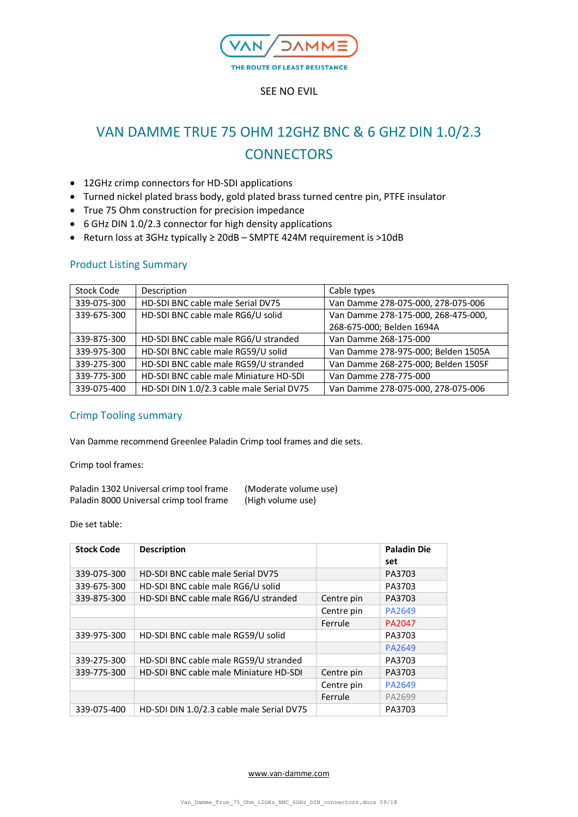

# VAN DAMME TRUE 75 OHM 12GHZ BNC & 6 GHZ DIN 1.0/2.3 **CONNECTORS**

- 12GHz crimp connectors for HD-SDI applications
- Turned nickel plated brass body, gold plated brass turned centre pin, PTFE insulator
- True 75 Ohm construction for precision impedance
- 6 GHz DIN 1.0/2.3 connector for high density applications
- Return loss at 3GHz typically ≥ 20dB SMPTE 424M requirement is >10dB

# Product Listing Summary

| Stock Code  | Description                               | Cable types                         |  |
|-------------|-------------------------------------------|-------------------------------------|--|
| 339-075-300 | HD-SDI BNC cable male Serial DV75         | Van Damme 278-075-000, 278-075-006  |  |
| 339-675-300 | HD-SDI BNC cable male RG6/U solid         | Van Damme 278-175-000, 268-475-000, |  |
|             |                                           | 268-675-000; Belden 1694A           |  |
| 339-875-300 | HD-SDI BNC cable male RG6/U stranded      | Van Damme 268-175-000               |  |
| 339-975-300 | HD-SDI BNC cable male RG59/U solid        | Van Damme 278-975-000; Belden 1505A |  |
| 339-275-300 | HD-SDI BNC cable male RG59/U stranded     | Van Damme 268-275-000; Belden 1505F |  |
| 339-775-300 | HD-SDI BNC cable male Miniature HD-SDI    | Van Damme 278-775-000               |  |
| 339-075-400 | HD-SDI DIN 1.0/2.3 cable male Serial DV75 | Van Damme 278-075-000, 278-075-006  |  |

# Crimp Tooling summary

Van Damme recommend Greenlee Paladin Crimp tool frames and die sets.

Crimp tool frames:

| Paladin 1302 Universal crimp tool frame | (Moderate volume use) |
|-----------------------------------------|-----------------------|
| Paladin 8000 Universal crimp tool frame | (High volume use)     |

Die set table:

| <b>Stock Code</b> | <b>Description</b>                        |            | <b>Paladin Die</b><br>set |
|-------------------|-------------------------------------------|------------|---------------------------|
| 339-075-300       | HD-SDI BNC cable male Serial DV75         |            | PA3703                    |
| 339-675-300       | HD-SDI BNC cable male RG6/U solid         |            | PA3703                    |
| 339-875-300       | HD-SDI BNC cable male RG6/U stranded      | Centre pin | PA3703                    |
|                   |                                           | Centre pin | PA2649                    |
|                   |                                           | Ferrule    | PA2047                    |
| 339-975-300       | HD-SDI BNC cable male RG59/U solid        |            | PA3703                    |
|                   |                                           |            | PA2649                    |
| 339-275-300       | HD-SDI BNC cable male RG59/U stranded     |            | PA3703                    |
| 339-775-300       | HD-SDI BNC cable male Miniature HD-SDI    | Centre pin | PA3703                    |
|                   |                                           | Centre pin | PA2649                    |
|                   |                                           | Ferrule    | PA2699                    |
| 339-075-400       | HD-SDI DIN 1.0/2.3 cable male Serial DV75 |            | PA3703                    |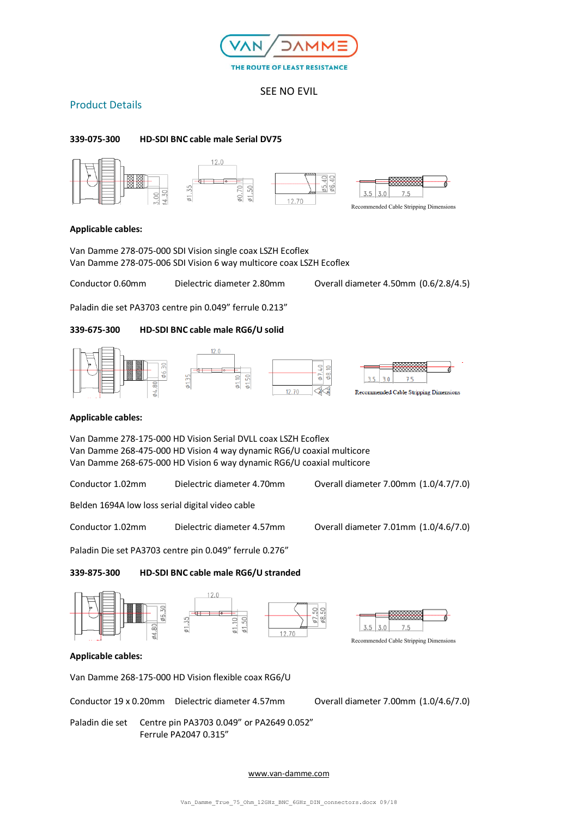

# Product Details

### **339-075-300 HD-SDI BNC cable male Serial DV75**



#### **Applicable cables:**

Van Damme 278-075-000 SDI Vision single coax LSZH Ecoflex Van Damme 278-075-006 SDI Vision 6 way multicore coax LSZH Ecoflex

Conductor 0.60mm Dielectric diameter 2.80mm Overall diameter 4.50mm (0.6/2.8/4.5)

Paladin die set PA3703 centre pin 0.049" ferrule 0.213"

#### **339-675-300 HD-SDI BNC cable male RG6/U solid**



#### **Applicable cables:**

Van Damme 278-175-000 HD Vision Serial DVLL coax LSZH Ecoflex Van Damme 268-475-000 HD Vision 4 way dynamic RG6/U coaxial multicore Van Damme 268-675-000 HD Vision 6 way dynamic RG6/U coaxial multicore

Conductor 1.02mm Dielectric diameter 4.70mm Overall diameter 7.00mm (1.0/4.7/7.0)

Belden 1694A low loss serial digital video cable

Conductor 1.02mm Dielectric diameter 4.57mm Overall diameter 7.01mm (1.0/4.6/7.0)

Paladin Die set PA3703 centre pin 0.049" ferrule 0.276"

**339-875-300 HD-SDI BNC cable male RG6/U stranded**



#### **Applicable cables:**

Van Damme 268-175-000 HD Vision flexible coax RG6/U

Conductor 19 x 0.20mm Dielectric diameter 4.57mm Overall diameter 7.00mm (1.0/4.6/7.0)

Paladin die set Centre pin PA3703 0.049" or PA2649 0.052" Ferrule PA2047 0.315"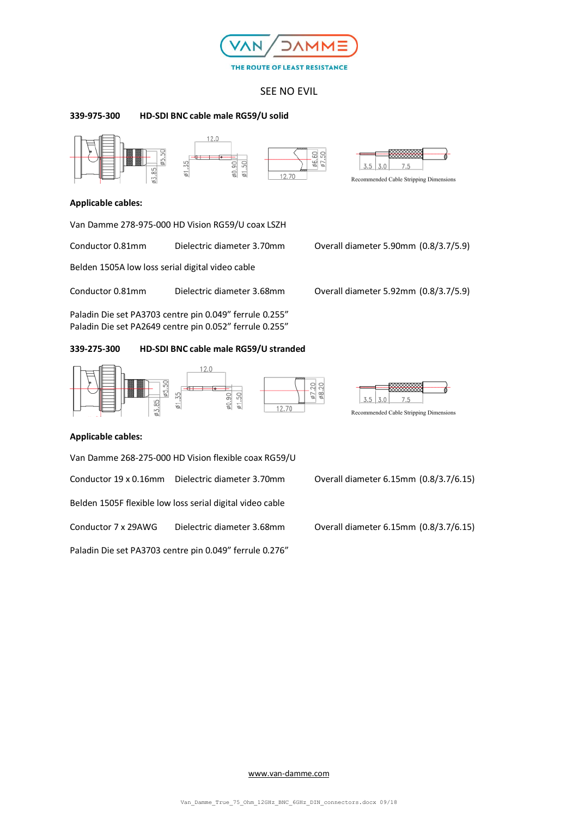

#### **339-975-300 HD-SDI BNC cable male RG59/U solid**







#### **Applicable cables:**

Van Damme 278-975-000 HD Vision RG59/U coax LSZH

Conductor 0.81mm Dielectric diameter 3.70mm Overall diameter 5.90mm (0.8/3.7/5.9)

Belden 1505A low loss serial digital video cable

Conductor 0.81mm Dielectric diameter 3.68mm Overall diameter 5.92mm (0.8/3.7/5.9)

Paladin Die set PA3703 centre pin 0.049" ferrule 0.255" Paladin Die set PA2649 centre pin 0.052" ferrule 0.255"

#### **339-275-300 HD-SDI BNC cable male RG59/U stranded**





Recommended Cable Stripping Dimensions

## **Applicable cables:**

Van Damme 268-275-000 HD Vision flexible coax RG59/U

Belden 1505F flexible low loss serial digital video cable

Conductor 7 x 29AWG Dielectric diameter 3.68mm Overall diameter 6.15mm (0.8/3.7/6.15)

Paladin Die set PA3703 centre pin 0.049" ferrule 0.276"

Conductor 19 x 0.16mm Dielectric diameter 3.70mm Overall diameter 6.15mm (0.8/3.7/6.15)